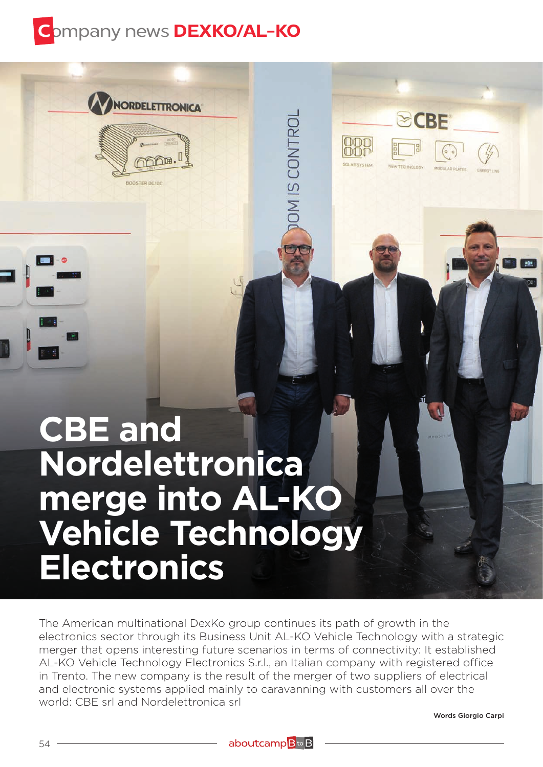

**NORDELETTRONICA** 

BOOSTER DC/DC

## **CBE and Nordelettronica merge into AL-KO Vehicle Technology Electronics**

The American multinational DexKo group continues its path of growth in the electronics sector through its Business Unit AL-KO Vehicle Technology with a strategic merger that opens interesting future scenarios in terms of connectivity: It established AL-KO Vehicle Technology Electronics S.r.l., an Italian company with registered office in Trento. The new company is the result of the merger of two suppliers of electrical and electronic systems applied mainly to caravanning with customers all over the world: CBE srl and Nordelettronica srl

CONTRO

\_<br>თ

Words Giorgio Carpi

**ECBE**